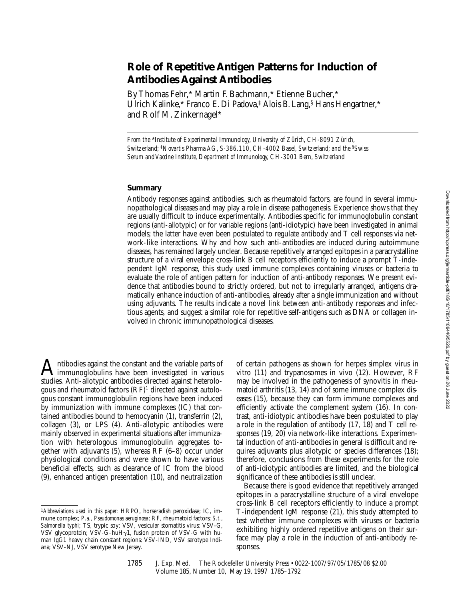# **Role of Repetitive Antigen Patterns for Induction of Antibodies Against Antibodies**

By Thomas Fehr,\* Martin F. Bachmann,\* Etienne Bucher,\* Ulrich Kalinke,\* Franco E. Di Padova,<sup>‡</sup> Alois B. Lang,<sup>§</sup> Hans Hengartner,\* and Rolf M. Zinkernagel\*

*From the* \**Institute of Experimental Immunology, University of Zürich, CH-8091 Zürich, Switzerland;* ‡*Novartis Pharma AG, S-386.110, CH-4002 Basel, Switzerland; and the* §*Swiss Serum and Vaccine Institute, Department of Immunology, CH-3001 Bern, Switzerland*

### **Summary**

Antibody responses against antibodies, such as rheumatoid factors, are found in several immunopathological diseases and may play a role in disease pathogenesis. Experience shows that they are usually difficult to induce experimentally. Antibodies specific for immunoglobulin constant regions (anti-allotypic) or for variable regions (anti-idiotypic) have been investigated in animal models; the latter have even been postulated to regulate antibody and T cell responses via network-like interactions. Why and how such anti-antibodies are induced during autoimmune diseases, has remained largely unclear. Because repetitively arranged epitopes in a paracrystalline structure of a viral envelope cross-link B cell receptors efficiently to induce a prompt T-independent IgM response, this study used immune complexes containing viruses or bacteria to evaluate the role of antigen pattern for induction of anti-antibody responses. We present evidence that antibodies bound to strictly ordered, but not to irregularly arranged, antigens dramatically enhance induction of anti-antibodies, already after a single immunization and without using adjuvants. The results indicate a novel link between anti-antibody responses and infectious agents, and suggest a similar role for repetitive self-antigens such as DNA or collagen involved in chronic immunopathological diseases.

Antibodies against the constant and the variable parts of<br>immunoglobulins have been investigated in various studies. Anti-allotypic antibodies directed against heterologous and rheumatoid factors  $(RF)^1$  directed against autologous constant immunoglobulin regions have been induced by immunization with immune complexes (IC) that contained antibodies bound to hemocyanin (1), transferrin (2), collagen (3), or LPS (4). Anti-allotypic antibodies were mainly observed in experimental situations after immunization with heterologous immunoglobulin aggregates together with adjuvants (5), whereas RF (6–8) occur under physiological conditions and were shown to have various beneficial effects, such as clearance of IC from the blood (9), enhanced antigen presentation (10), and neutralization

of certain pathogens as shown for herpes simplex virus in vitro (11) and trypanosomes in vivo (12). However, RF may be involved in the pathogenesis of synovitis in rheumatoid arthritis (13, 14) and of some immune complex diseases (15), because they can form immune complexes and efficiently activate the complement system (16). In contrast, anti-idiotypic antibodies have been postulated to play a role in the regulation of antibody (17, 18) and T cell responses (19, 20) via network-like interactions. Experimental induction of anti-antibodies in general is difficult and requires adjuvants plus allotypic or species differences (18); therefore, conclusions from these experiments for the role of anti-idiotypic antibodies are limited, and the biological significance of these antibodies is still unclear.

Because there is good evidence that repetitively arranged epitopes in a paracrystalline structure of a viral envelope cross-link B cell receptors efficiently to induce a prompt T-independent IgM response (21), this study attempted to test whether immune complexes with viruses or bacteria exhibiting highly ordered repetitive antigens on their surface may play a role in the induction of anti-antibody responses.

<sup>1</sup>*Abbreviations used in this paper:* HRPO, horseradish peroxidase; IC, immune complex; *P.a.*, *Pseudomonas aeruginosa*; RF, rheumatoid factors; *S.t.*, *Salmonella typhi*; TS, trypic soy; VSV, vesicular stomatitis virus; VSV-G, VSV glycoprotein; VSV-G-huHy1, fusion protein of VSV-G with human IgG1 heavy chain constant regions; VSV-IND, VSV serotype Indiana; VSV-NJ, VSV serotype New Jersey.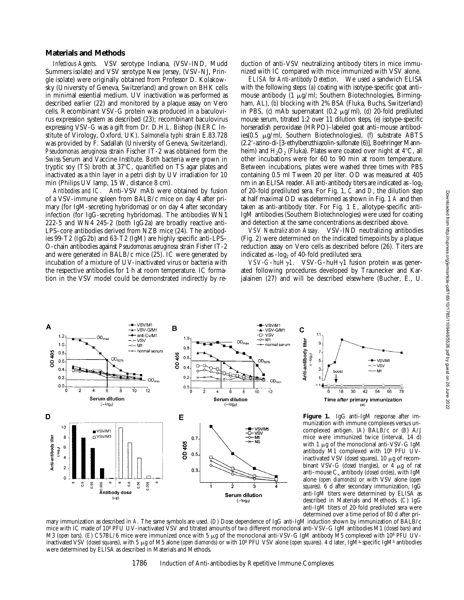#### **Materials and Methods**

*Infectious Agents.* VSV serotype Indiana, (VSV-IND, Mudd Summers isolate) and VSV serotype New Jersey, (VSV-NJ, Pringle isolate) were originally obtained from Professor D. Kolakowsky (University of Geneva, Switzerland) and grown on BHK cells in minimal essential medium. UV inactivation was performed as described earlier (22) and monitored by a plaque assay on Vero cells. Recombinant VSV-G protein was produced in a baculovirus expression system as described (23); recombinant baculovirus expressing VSV-G was a gift from Dr. D.H.L. Bishop (NERC Institute of Virology, Oxford, UK). *Salmonella typhi* strain E.83.728 was provided by F. Sadallah (University of Geneva, Switzerland). *Pseudomonas aeruginosa* strain Fischer IT-2 was obtained form the Swiss Serum and Vaccine Institute. Both bacteria were grown in tryptic soy  $(TS)$  broth at  $37^{\circ}C$ , quantified on TS agar plates and inactivated as a thin layer in a petri dish by UV irradiation for 10 min (Philips UV lamp, 15 W, distance 8 cm).

*Antibodies and IC.* Anti-VSV mAb were obtained by fusion of a VSV-immune spleen from BALB/c mice on day 4 after primary (for IgM-secreting hybridomas) or on day 4 after secondary infection (for IgG-secreting hybridomas). The antibodies WN1 222-5 and WN4 245-2 (both IgG2a) are broadly reactive anti-LPS–core antibodies derived from NZB mice (24). The antibodies 99-T2 (IgG2b) and 63-T2 (IgM) are highly specific anti-LPS– O-chain antibodies against *Pseudomonas aeruginosa* strain Fisher IT-2 and were generated in BALB/c mice (25). IC were generated by incubation of a mixture of UV-inactivated virus or bacteria with the respective antibodies for 1 h at room temperature. IC formation in the VSV model could be demonstrated indirectly by reduction of anti-VSV neutralizing antibody titers in mice immunized with IC compared with mice immunized with VSV alone.

*ELISA for Anti-antibody Detection.* We used a sandwich ELISA with the following steps: (*a*) coating with isotype-specific goat anti– mouse antibody  $(1 \mu g/ml)$ ; Southern Biotechnologies, Birmingham, AL), (*b*) blocking with 2% BSA (Fluka, Buchs, Switzerland) in PBS, (*c*) mAb supernatant (0.2 mg/ml), (*d*) 20-fold prediluted mouse serum, titrated 1:2 over 11 dilution steps, (*e*) isotype-specific horseradish peroxidase (HRPO)–labeled goat anti–mouse antibodies(0.5 mg/ml, Southern Biotechnologies), (*f*) substrate ABTS (2.2'-azino-di-[3-ethylbenzthiazolin-sulfonate (6)], Boehringer Mannheim) and  $H_2O_2$  (Fluka). Plates were coated over night at  $4^{\circ}C$ , all other incubations were for 60 to 90 min at room temperature. Between incubations, plates were washed three times with PBS containing 0.5 ml Tween 20 per liter. OD was measured at 405 nm in an ELISA reader. All anti-antibody titers are indicated as  $-log<sub>2</sub>$ of 20-fold prediluted sera. For Fig. 1, *C* and *D*, the dilution step at half maximal OD was determined as shown in Fig. 1 *A* and then taken as anti-antibody titer. For Fig. 1 *E*, allotype-specific anti-IgM antibodies (Southern Biotechnologies) were used for coating and detection at the same concentrations as described above.

*VSV Neutralization Assay.* VSV-IND neutralizing antibodies (Fig. 2) were determined on the indicated timepoints by a plaque reduction assay on Vero cells as described before (26). Titers are indicated as  $-log<sub>2</sub>$  of 40-fold prediluted sera.

VSV-G-huHy1. VSV-G-huHy1 fusion protein was generated following procedures developed by Traunecker and Karjalainen (27) and will be described elsewhere (Bucher, E., U.





**Figure 1.** IgG anti-IgM response after immunization with immune complexes versus uncomplexed antigen. (*A*) BALB/c or (*B*) A/J mice were immunized twice (interval, 14 d) with 1  $\mu$ g of the monoclonal anti-VSV-G IgM antibody M1 complexed with 108 PFU UVinactivated VSV (*closed squares*), 10 µg of recombinant VSV-G (*closed triangles*), or  $\overline{4}$  µg of rat anti–mouse Ck antibody (*closed circles*), with IgM alone (*open diamonds*) or with VSV alone (*open squares*). 6 d after secondary immunization, IgG anti-IgM titers were determined by ELISA as described in Materials and Methods. (*C*) IgG anti-IgM titers of 20-fold prediluted sera were determined over a time period of 80 d after pri-

mary immunization as described in *A.* The same symbols are used. (*D*) Dose dependence of IgG anti-IgM induction shown by immunization of BALB/c mice with IC made of 108 PFU UV-inactivated VSV and titrated amounts of two different monoclonal anti-VSV-G IgM antibodies M1 (*closed bars*) and M3 (*open bars*). (E) C57BL/6 mice were immunized once with 5 μg of the monoclonal anti-VSV-G IgM antibody M5 complexed with 10<sup>8</sup> PFU UVinactivated VSV (*closed squares*), with 5 µg of M5 alone (*open diamonds*) or with 10<sup>8</sup> PFU VSV alone (*open squares*). 4 d later, IgM<sup>a</sup>-specific IgM<sup>b</sup> antibodies were determined by ELISA as described in Materials and Methods.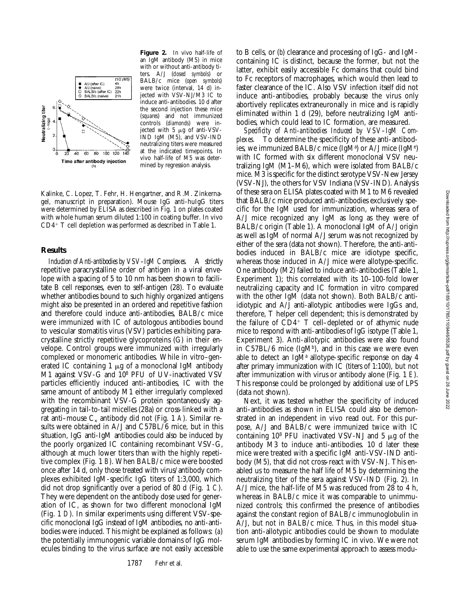

**Figure 2.** In vivo half-life of an IgM antibody (M5) in mice with or without anti-antibody titers. A/J (*closed symbols*) or BALB/c mice (*open symbols*) were twice (interval, 14 d) injected with VSV-NJ/M3 IC to induce anti-antibodies. 10 d after the second injection these mice (*squares*) and not immunized controls (*diamonds*) were injected with  $5 \mu g$  of anti-VSV-IND IgM (M5), and VSV-IND neutralizing titers were measured at the indicated timepoints. In vivo half-life of M5 was determined by regression analysis.

Kalinke, C. Lopez, T. Fehr, H. Hengartner, and R.M. Zinkernagel, manuscript in preparation). Mouse IgG anti-huIgG titers were determined by ELISA as described in Fig. 1 on plates coated with whole human serum diluted 1:100 in coating buffer. In vivo  $CD4+T$  cell depletion was performed as described in Table 1.

## **Results**

*Induction of Anti-antibodies by VSV–IgM Complexes.* A strictly repetitive paracrystalline order of antigen in a viral envelope with a spacing of 5 to 10 nm has been shown to facilitate B cell responses, even to self-antigen (28). To evaluate whether antibodies bound to such highly organized antigens might also be presented in an ordered and repetitive fashion and therefore could induce anti-antibodies, BALB/c mice were immunized with IC of autologous antibodies bound to vesicular stomatitis virus (VSV) particles exhibiting paracrystalline strictly repetitive glycoproteins (G) in their envelope. Control groups were immunized with irregularly complexed or monomeric antibodies. While in vitro–generated IC containing 1  $\mu$ g of a monoclonal IgM antibody M1 against VSV-G and 108 PFU of UV-inactivated VSV particles efficiently induced anti-antibodies, IC with the same amount of antibody M1 either irregularly complexed with the recombinant VSV-G protein spontaneously aggregating in tail-to-tail micelles (28a) or cross-linked with a rat anti–mouse  $C_{k}$  antibody did not (Fig. 1 *A*). Similar results were obtained in A/J and C57BL/6 mice, but in this situation, IgG anti-IgM antibodies could also be induced by the poorly organized IC containing recombinant VSV-G, although at much lower titers than with the highly repetitive complex (Fig. 1 *B*). When BALB/c mice were boosted once after 14 d, only those treated with virus/antibody complexes exhibited IgM-specific IgG titers of 1:3,000, which did not drop significantly over a period of 80 d (Fig. 1 *C*). They were dependent on the antibody dose used for generation of IC, as shown for two different monoclonal IgM (Fig. 1 *D*). In similar experiments using different VSV-specific monoclonal IgG instead of IgM antibodies, no anti-antibodies were induced. This might be explained as follows: (*a*) the potentially immunogenic variable domains of IgG molecules binding to the virus surface are not easily accessible

to B cells, or (*b*) clearance and processing of IgG- and IgMcontaining IC is distinct, because the former, but not the latter, exhibit easily accessible Fc domains that could bind to Fc receptors of macrophages, which would then lead to faster clearance of the IC. Also VSV infection itself did not induce anti-antibodies, probably because the virus only abortively replicates extraneuronally in mice and is rapidly eliminated within 1 d (29), before neutralizing IgM antibodies, which could lead to IC formation, are measured.

*Specificity of Anti-antibodies Induced by VSV–IgM Complexes.* To determine the specificity of these anti-antibodies, we immunized BALB/c mice (IgMª) or A/J mice (IgMª) with IC formed with six different monoclonal VSV neutralizing IgM (M1–M6), which were isolated from BALB/c mice. M3 is specific for the distinct serotype VSV-New Jersey (VSV-NJ), the others for VSV Indiana (VSV-IND). Analysis of these sera on ELISA plates coated with M1 to M6 revealed that BALB/c mice produced anti-antibodies exclusively specific for the IgM used for immunization, whereas sera of A/J mice recognized any IgM as long as they were of BALB/c origin (Table 1). A monoclonal IgM of A/J origin as well as IgM of normal A/J serum was not recognized by either of the sera (data not shown). Therefore, the anti-antibodies induced in BALB/c mice are idiotype specific, whereas those induced in A/J mice were allotype-specific. One antibody (M2) failed to induce anti-antibodies (Table 1, Experiment 1); this correlated with its 10–100-fold lower neutralizing capacity and IC formation in vitro compared with the other IgM (data not shown). Both BALB/c antiidiotypic and A/J anti-allotypic antibodies were IgGs and, therefore, T helper cell dependent; this is demonstrated by the failure of  $CD4^+$  T cell–depleted or of athymic nude mice to respond with anti-antibodies of IgG isotype (Table 1, Experiment 3). Anti-allotypic antibodies were also found in C57BL/6 mice  $(IgM<sup>b</sup>)$ , and in this case we were even able to detect an IgM<sup>a</sup> allotype-specific response on day 4 after primary immunization with IC (titers of 1:100), but not after immunization with virus or antibody alone (Fig. 1 *E*). This response could be prolonged by additional use of LPS (data not shown).

Next, it was tested whether the specificity of induced anti-antibodies as shown in ELISA could also be demonstrated in an independent in vivo read out. For this purpose, A/J and BALB/c were immunized twice with IC containing 10<sup>8</sup> PFU inactivated VSV-NJ and 5  $\mu$ g of the antibody M3 to induce anti-antibodies. 10 d later these mice were treated with a specific IgM anti-VSV-IND antibody (M5), that did not cross-react with VSV-NJ. This enabled us to measure the half life of M5 by determining the neutralizing titer of the sera against VSV-IND (Fig. 2). In A/J mice, the half-life of M5 was reduced from 28 to 4 h, whereas in BALB/c mice it was comparable to unimmunized controls; this confirmed the presence of antibodies against the constant region of BALB/c immunoglobulin in A/J, but not in BALB/c mice. Thus, in this model situation anti-allotypic antibodies could be shown to modulate serum IgM antibodies by forming IC in vivo. We were not able to use the same experimental approach to assess modu-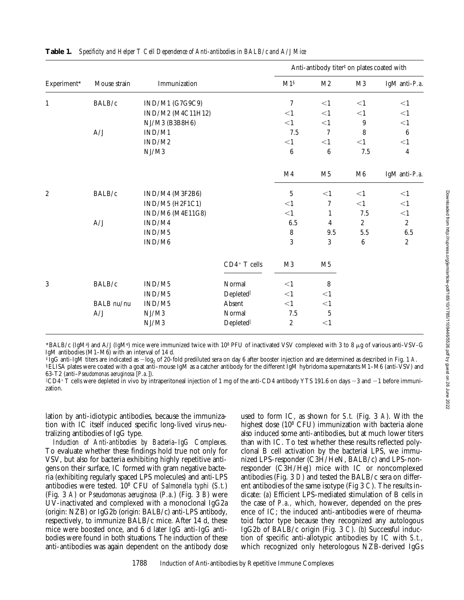| Experiment*    | Mouse strain | Immunization      |               | Anti-antibody titer <sup>#</sup> on plates coated with |                |            |                  |
|----------------|--------------|-------------------|---------------|--------------------------------------------------------|----------------|------------|------------------|
|                |              |                   |               | M1 <sup>§</sup>                                        | M <sub>2</sub> | M3         | IgM anti-P.a.    |
| $1\,$          | BALB/c       | IND/M1 (G7G9C9)   |               | 7                                                      | $<\!1$         | $<$ 1      | <1               |
|                |              | IND/M2 (M4C11H12) |               | $<\!1$                                                 | $<$ 1          | $<$ 1      | $<$ 1            |
|                |              | NJ/M3 (B3B8H6)    |               | <1                                                     | $<$ 1          | 9          | $<$ 1            |
|                | A/J          | IND/M1            |               | $7.5\,$                                                | $\overline{7}$ | 8          | $\boldsymbol{6}$ |
|                |              | IND/M2            |               | $<$ 1                                                  | <1             | <1         | $<1\,$           |
|                |              | NJ/M3             |               | $6\phantom{.}6$                                        | 6              | 7.5        | $\overline{4}$   |
|                |              |                   |               | M <sub>4</sub>                                         | M <sub>5</sub> | M6         | IgM anti-P.a.    |
| $\overline{c}$ | BALB/c       | IND/M4 (M3F2B6)   |               | $5\,$                                                  | $<$ 1          | <1         | <1               |
|                |              | IND/M5 (H2F1C1)   |               | $<$ 1                                                  | 7              | $<$ 1      | <1               |
|                |              | IND/M6 (M4E11G8)  |               | $<$ 1                                                  | $\mathbf{1}$   | $7.5\,$    | <1               |
|                | A/J          | IND/M4            |               | 6.5                                                    | $\overline{4}$ | $\sqrt{2}$ | $\sqrt{2}$       |
|                |              | IND/M5            |               | $\bf 8$                                                | 9.5            | 5.5        | $6.5\,$          |
|                |              | IND/M6            |               | 3                                                      | 3              | $\,6\,$    | $\sqrt{2}$       |
|                |              |                   | $CD4+T$ cells | M3                                                     | M5             |            |                  |
| 3              | BALB/c       | IND/M5            | Normal        | $<$ 1                                                  | 8              |            |                  |
|                |              | IND/M5            | Depleted      | $<$ 1                                                  | <1             |            |                  |
|                | BALB nu/nu   | IND/M5            | Absent        | <1                                                     | $<\!1$         |            |                  |
|                | A/J          | NJ/M3             | Normal        | 7.5                                                    | $\sqrt{5}$     |            |                  |
|                |              | NJ/M3             | Depleted      | $\boldsymbol{2}$                                       | <1             |            |                  |

\*BALB/c (IgMª) and A/J (IgMª) mice were immunized twice with 108 PFU of inactivated VSV complexed with 3 to 8  $\mu$ g of various anti-VSV-G IgM antibodies (M1–M6) with an interval of 14 d.<br>‡IgG anti-IgM titers are indicated as  $-\log_2$  of 20-fold prediluted sera on day 6 after booster injection and are determined as described in Fig. 1 A.

§ELISA plates were coated with a goat anti-mouse IgM as a catcher antibody for the different IgM hybridoma supernatants M1-M6 (anti-VSV) and 63-T2 (anti–*Pseudomonas aeruginosa* [*P.a.*]).

 $^\|$ CD4+ T cells were depleted in vivo by intraperitoneal injection of 1 mg of the anti-CD4 antibody YTS 191.6 on days  $-3$  and  $-1$  before immunization.

lation by anti-idiotypic antibodies, because the immunization with IC itself induced specific long-lived virus-neutralizing antibodies of IgG type.

*Induction of Anti-antibodies by Bacteria–IgG Complexes.* To evaluate whether these findings hold true not only for VSV, but also for bacteria exhibiting highly repetitive antigens on their surface, IC formed with gram negative bacteria (exhibiting regularly spaced LPS molecules) and anti-LPS antibodies were tested. 108 CFU of *Salmonella typhi* (*S.t.*) (Fig. 3 *A*) or *Pseudomonas aeruginosa* (*P.a.*) (Fig. 3 *B*) were UV-inactivated and complexed with a monoclonal IgG2a (origin: NZB) or IgG2b (origin: BALB/c) anti-LPS antibody, respectively, to immunize BALB/c mice. After 14 d, these mice were boosted once, and 6 d later IgG anti-IgG antibodies were found in both situations. The induction of these anti-antibodies was again dependent on the antibody dose used to form IC, as shown for *S.t.* (Fig. 3 *A*). With the highest dose (10<sup>8</sup> CFU) immunization with bacteria alone also induced some anti-antibodies, but at much lower titers than with IC. To test whether these results reflected polyclonal B cell activation by the bacterial LPS, we immunized LPS-responder (C3H/HeN, BALB/c) and LPS-nonresponder (C3H/HeJ) mice with IC or noncomplexed antibodies (Fig. 3 *D*) and tested the BALB/c sera on different antibodies of the same isotype (Fig 3 *C*). The results indicate: (*a*) Efficient LPS-mediated stimulation of B cells in the case of *P.a.,* which, however, depended on the presence of IC; the induced anti-antibodies were of rheumatoid factor type because they recognized any autologous IgG2b of BALB/c origin (Fig. 3 *C*). (*b*) Successful induction of specific anti-allotypic antibodies by IC with *S.t.*, which recognized only heterologous NZB-derived IgGs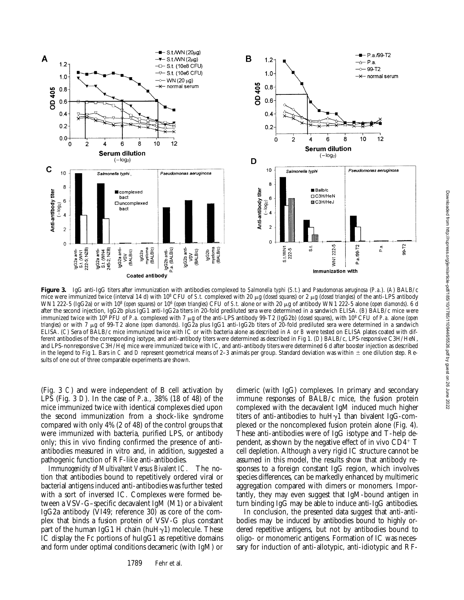

**Figure 3.** IgG anti-IgG titers after immunization with antibodies complexed to *Salmonella typhi* (*S.t.*) and *Pseudomonas aeruginosa* (*P.a.*). (*A*) BALB/c mice were immunized twice (interval 14 d) with 10<sup>8</sup> CFU of *S.t.* complexed with 20  $\mu$ g (*closed squares*) or 2  $\mu$ g (*closed triangles*) of the anti-LPS antibody WN1 222-5 (IgG2a) or with 108 (*open squares*) or 106 (*open triangles*) CFU of *S.t.* alone or with 20 mg of antibody WN1 222-5 alone (*open diamonds*). 6 d after the second injection, IgG2b plus IgG1 anti-IgG2a titers in 20-fold prediluted sera were determined in a sandwich ELISA. (*B*) BALB/c mice were immunized twice with 108 PFU of *P.a.* complexed with 7 mg of the anti-LPS antibody 99-T2 (IgG2b) (*closed squares*), with 108 CFU of *P.a.* alone (*open triangles*) or with 7 mg of 99-T2 alone (*open diamonds*). IgG2a plus IgG1 anti-IgG2b titers of 20-fold prediluted sera were determined in a sandwich ELISA. (*C*) Sera of BALB/c mice immunized twice with IC or with bacteria alone as described in *A* or *B* were tested on ELISA plates coated with different antibodies of the corresponding isotype, and anti-antibody titers were determined as described in Fig 1. (*D*) BALB/c, LPS-responsive C3H/HeN, and LPS-nonresponsive C3H/HeJ mice were immunized twice with IC, and anti-antibody titers were determined 6 d after booster injection as described in the legend to Fig 1. Bars in *C* and *D* represent geometrical means of 2–3 animals per group. Standard deviation was within  $\pm$  one dilution step. Results of one out of three comparable experiments are shown.

(Fig. 3 *C*) and were independent of B cell activation by LPS (Fig. 3 *D*). In the case of *P.a.,* 38% (18 of 48) of the mice immunized twice with identical complexes died upon the second immunization from a shock-like syndrome compared with only 4% (2 of 48) of the control groups that were immunized with bacteria, purified LPS, or antibody only; this in vivo finding confirmed the presence of antiantibodies measured in vitro and, in addition, suggested a pathogenic function of RF-like anti-antibodies.

*Immunogenicity of Multivaltent Versus Bivalent IC.* The notion that antibodies bound to repetitively ordered viral or bacterial antigens induced anti-antibodies was further tested with a sort of inversed IC. Complexes were formed between a VSV-G–specific decavalent IgM (M1) or a bivalent IgG2a antibody (VI49; reference 30) as core of the complex that binds a fusion protein of VSV-G plus constant part of the human IgG1 H chain (huH $\gamma$ 1) molecule. These IC display the Fc portions of huIgG1 as repetitive domains and form under optimal conditions decameric (with IgM) or

1789 Fehr et al.

dimeric (with IgG) complexes. In primary and secondary immune responses of BALB/c mice, the fusion protein complexed with the decavalent IgM induced much higher titers of anti-antibodies to huH $\gamma$ 1 than bivalent IgG-complexed or the noncomplexed fusion protein alone (Fig. 4). These anti-antibodies were of IgG isotype and T-help dependent, as shown by the negative effect of in vivo  $CD4^+$  T cell depletion. Although a very rigid IC structure cannot be assumed in this model, the results show that antibody responses to a foreign constant IgG region, which involves species differences, can be markedly enhanced by multimeric aggregation compared with dimers or monomers. Importantly, they may even suggest that IgM-bound antigen in turn binding IgG may be able to induce anti-IgG antibodies.

In conclusion, the presented data suggest that anti-antibodies may be induced by antibodies bound to highly ordered repetitive antigens, but not by antibodies bound to oligo- or monomeric antigens. Formation of IC was necessary for induction of anti-allotypic, anti-idiotypic and RF-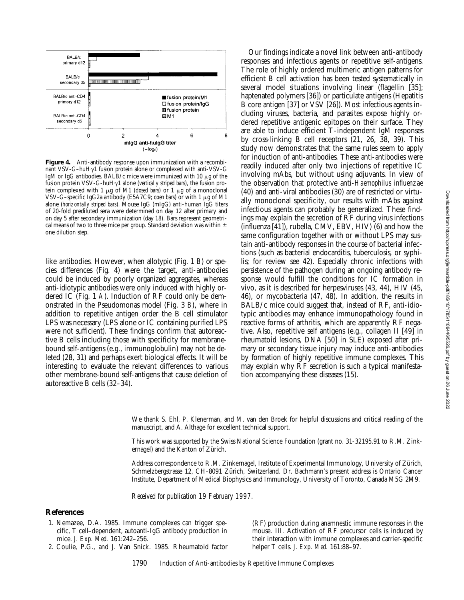2022



Figure 4. Anti-antibody response upon immunization with a recombinant VSV-G-huH $\gamma$ 1 fusion protein alone or complexed with anti-VSV-G IgM or IgG antibodies. BALB/c mice were immunized with 10  $\mu$ g of the fusion protein VSV-G-huHg1 alone (*vertically striped bars*), the fusion protein complexed with 1 μg of M1 (*closed bars*) or 1 μg of a monoclonal VSV-G–specific IgG2a antibody (E5A7C9; *open bars*) or with 1 mg of M1 alone (*horizontally striped bars*). Mouse IgG (mIgG) anti-human IgG titers of 20-fold prediluted sera were determined on day 12 after primary and on day 5 after secondary immunization (day 18). Bars represent geometrical means of two to three mice per group. Standard deviation was within  $\pm$ one dilution step.

like antibodies. However, when allotypic (Fig. 1 *B*) or species differences (Fig. 4) were the target, anti-antibodies could be induced by poorly organized aggregates, whereas anti-idiotypic antibodies were only induced with highly ordered IC (Fig. 1 *A*). Induction of RF could only be demonstrated in the Pseudomonas model (Fig. 3 *B*), where in addition to repetitive antigen order the B cell stimulator LPS was necessary (LPS alone or IC containing purified LPS were not sufficient). These findings confirm that autoreactive B cells including those with specificity for membranebound self-antigens (e.g., immunoglobulin) may not be deleted (28, 31) and perhaps exert biological effects. It will be interesting to evaluate the relevant differences to various other membrane-bound self-antigens that cause deletion of autoreactive B cells (32–34).

Our findings indicate a novel link between anti-antibody responses and infectious agents or repetitive self-antigens. The role of highly ordered multimeric antigen patterns for efficient B cell activation has been tested systematically in several model situations involving linear (flagellin [35]; haptenated polymers [36]) or particulate antigens (Hepatitis B core antigen [37] or VSV [26]). Most infectious agents including viruses, bacteria, and parasites expose highly ordered repetitive antigenic epitopes on their surface. They are able to induce efficient T-independent IgM responses by cross-linking B cell receptors (21, 26, 38, 39). This study now demonstrates that the same rules seem to apply for induction of anti-antibodies. These anti-antibodies were readily induced after only two injections of repetitive IC involving mAbs, but without using adjuvants. In view of the observation that protective anti-*Haemophilus influenzae* (40) and anti-viral antibodies (30) are of restricted or virtually monoclonal specificity, our results with mAbs against infectious agents can probably be generalized. These findings may explain the secretion of RF during virus infections (influenza [41]), rubella, CMV, EBV, HIV) (6) and how the same configuration together with or without LPS may sustain anti-antibody responses in the course of bacterial infections (such as bacterial endocarditis, tuberculosis, or syphilis; for review see 42). Especially chronic infections with persistence of the pathogen during an ongoing antibody response would fulfill the conditions for IC formation in vivo, as it is described for herpesviruses (43, 44), HIV (45, 46), or mycobacteria (47, 48). In addition, the results in BALB/c mice could suggest that, instead of RF, anti-idiotypic antibodies may enhance immunopathology found in reactive forms of arthritis, which are apparently RF negative. Also, repetitive self antigens (e.g., collagen II [49] in rheumatoid lesions, DNA [50] in SLE) exposed after primary or secondary tissue injury may induce anti-antibodies by formation of highly repetitive immune complexes. This may explain why RF secretion is such a typical manifestation accompanying these diseases (15).

We thank S. Ehl, P. Klenerman, and M. van den Broek for helpful discussions and critical reading of the manuscript, and A. Althage for excellent technical support.

This work was supported by the Swiss National Science Foundation (grant no. 31-32195.91 to R.M. Zinkernagel) and the Kanton of Zürich.

Address correspondence to R.M. Zinkernagel, Institute of Experimental Immunology, University of Zürich, Schmelzbergstrasse 12, CH-8091 Zürich, Switzerland. Dr. Bachmann's present address is Ontario Cancer Institute, Department of Medical Biophysics and Immunology, University of Toronto, Canada M5G 2M9.

*Received for publication 19 February 1997.*

## **References**

- 1. Nemazee, D.A. 1985. Immune complexes can trigger specific, T cell–dependent, autoanti-IgG antibody production in mice. *J. Exp. Med.* 161:242–256.
- 2. Coulie, P.G., and J. Van Snick. 1985. Rheumatoid factor

(RF) production during anamnestic immune responses in the mouse. III. Activation of RF precursor cells is induced by their interaction with immune complexes and carrier-specific helper T cells. *J. Exp. Med.* 161:88–97.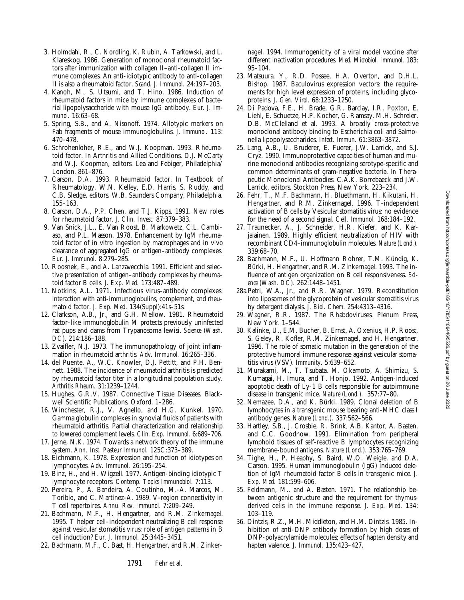Downloaded from http://rupress.org/jem/article-pdf/185/10/1785/1109446/5526.pdf by guest on 26 June 2022

- 3. Holmdahl, R., C. Nordling, K. Rubin, A. Tarkowski, and L. Klareskog. 1986. Generation of monoclonal rheumatoid factors after immunization with collagen II–anti-collagen II immune complexes. An anti-idiotypic antibody to anti-collagen II is also a rheumatoid factor. *Scand. J. Immunol.* 24:197–203.
- 4. Kanoh, M., S. Utsumi, and T. Hino. 1986. Induction of rheumatoid factors in mice by immune complexes of bacterial lipopolysaccharide with mouse IgG antibody. *Eur. J. Immunol.* 16:63–68.
- 5. Spring, S.B., and A. Nisonoff. 1974. Allotypic markers on Fab fragments of mouse immunoglobulins. *J. Immunol.* 113: 470–478.
- 6. Schrohenloher, R.E., and W.J. Koopman. 1993. Rheumatoid factor. *In* Arthritis and Allied Conditions. D.J. McCarty and W.J. Koopman, editors. Lea and Febiger, Philadelphia/ London. 861–876.
- 7. Carson, D.A. 1993. Rheumatoid factor. *In* Textbook of Rheumatology. W.N. Kelley, E.D. Harris, S. Ruddy, and C.B. Sledge, editors. W.B. Saunders Company, Philadelphia. 155–163.
- 8. Carson, D.A., P.P. Chen, and T.J. Kipps. 1991. New roles for rheumatoid factor. *J. Clin. Invest.* 87:379–383.
- 9. Van Snick, J.L., E. Van Roost, B. Markowetz, C.L. Cambiaso, and P.L. Masson. 1978. Enhancement by IgM rheumatoid factor of in vitro ingestion by macrophages and in vivo clearance of aggregated IgG or antigen–antibody complexes. *Eur. J. Immunol.* 8:279–285.
- 10. Roosnek, E., and A. Lanzavecchia. 1991. Efficient and selective presentation of antigen–antibody complexes by rheumatoid factor B cells. *J. Exp. Med.* 173:487–489.
- 11. Notkins, A.L. 1971. Infectious virus–antibody complexes: interaction with anti-immunoglobulins, complement, and rheumatoid factor. *J. Exp. Med.* 134(Suppl):41s–51s.
- 12. Clarkson, A.B., Jr., and G.H. Mellow. 1981. Rheumatoid factor–like immunoglobulin M protects previously uninfected rat pups and dams from Trypanosoma lewisi. *Science (Wash. DC).* 214:186–188.
- 13. Zvaifler, N.J. 1973. The immunopathology of joint inflammation in rheumatoid arthritis. *Adv. Immunol.* 16:265–336.
- 14. del Puente, A., W.C. Knowler, D.J. Pettitt, and P.H. Bennett. 1988. The incidence of rheumatoid arthritis is predicted by rheumatoid factor titer in a longitudinal population study. *Arthritis Rheum.* 31:1239–1244.
- 15. Hughes, G.R.V. 1987. Connective Tissue Diseases. Blackwell Scientific Publications, Oxford. 1–286.
- 16. Winchester, R.J., V. Agnello, and H.G. Kunkel. 1970. Gamma globulin complexes in synovial fluids of patients with rheumatoid arthritis. Partial characterization and relationship to lowered complement levels. *Clin. Exp. Immunol.* 6:689–706.
- 17. Jerne, N.K. 1974. Towards a network theory of the immune system. *Ann. Inst. Pasteur Immunol.* 125C:373–389.
- 18. Eichmann, K. 1978. Expression and function of idiotypes on lymphocytes. *Adv. Immunol.* 26:195–254.
- 19. Binz, H., and H. Wigzell. 1977. Antigen-binding idiotypic T lymphocyte receptors. *Contemp. Topics Immunobiol.* 7:113.
- 20. Pereira, P., A. Bandeira, A. Coutinho, M.-A. Marcos, M. Toribio, and C. Martinez-A. 1989. V-region connectivity in T cell repertoires. *Annu. Rev. Immunol.* 7:209–249.
- 21. Bachmann, M.F., H. Hengartner, and R.M. Zinkernagel. 1995. T helper cell–independent neutralizing B cell response against vesicular stomatitis virus: role of antigen patterns in B cell induction? *Eur. J. Immunol.* 25:3445–3451.
- 22. Bachmann, M.F., C. Bast, H. Hengartner, and R.M. Zinker-

nagel. 1994. Immunogenicity of a viral model vaccine after different inactivation procedures. *Med. Microbiol. Immunol.* 183: 95–104.

- 23. Matsuura, Y., R.D. Possee, H.A. Overton, and D.H.L. Bishop. 1987. Baculovirus expression vectors: the requirements for high level expression of proteins, including glycoproteins. *J. Gen. Virol.* 68:1233–1250.
- 24. Di Padova, F.E., H. Brade, G.R. Barclay, I.R. Poxton, E. Liehl, E. Schuetze, H.P. Kocher, G. Ramsay, M.H. Schreier, D.B. McClelland et al. 1993. A broadly cross-protective monoclonal antibody binding to Escherichia coli and Salmonella lipopolysaccharides. *Infect. Immun.* 61:3863–3872.
- 25. Lang, A.B., U. Bruderer, E. Fuerer, J.W. Larrick, and S.J. Cryz. 1990. Immunoprotective capacities of human and murine monoclonal antibodies recognizing serotype-specific and common determinants of gram-negative bacteria. *In* Therapeutic Monoclonal Antibodies. C.A.K. Borrebaeck and J.W. Larrick, editors. Stockton Press, New York. 223–234.
- 26. Fehr, T., M.F. Bachmann, H. Bluethmann, H. Kikutani, H. Hengartner, and R.M. Zinkernagel. 1996. T-independent activation of B cells by Vesicular stomatitis virus: no evidence for the need of a second signal. *Cell. Immunol.* 168:184–192.
- 27. Traunecker, A., J. Schneider, H.R. Kiefer, and K. Karjalainen. 1989. Highly efficient neutralization of HIV with recombinant CD4–immunoglobulin molecules. *Nature (Lond.).* 339:68–70.
- 28. Bachmann, M.F., U. Hoffmann Rohrer, T.M. Kündig, K. Bürki, H. Hengartner, and R.M. Zinkernagel. 1993. The influence of antigen organization on B cell responsiveness. *Science (Wash. DC).* 262:1448–1451.
- 28a.Petri, W.A., Jr., and R.R. Wagner. 1979. Reconstitution into liposomes of the glycoprotein of vesicular stomatitis virus by detergent dialysis. *J. Biol. Chem.* 254:4313–4316.
- 29. Wagner, R.R. 1987. The Rhabdoviruses. Plenum Press, New York. 1–544.
- 30. Kalinke, U., E.M. Bucher, B. Ernst, A. Oxenius, H.P. Roost, S. Geley, R. Kofler, R.M. Zinkernagel, and H. Hengartner. 1996. The role of somatic mutation in the generation of the protective humoral immune response against vesicular stomatitis virus (VSV). *Immunity.* 5:639–652.
- 31. Murakami, M., T. Tsubata, M. Okamoto, A. Shimizu, S. Kumagai, H. Imura, and T. Honjo. 1992. Antigen-induced apoptotic death of Ly-1 B cells responsible for autoimmune disease in transgenic mice. *Nature (Lond.).* 357:77–80.
- 32. Nemazee, D.A., and K. Bürki. 1989. Clonal deletion of B lymphocytes in a transgenic mouse bearing anti-MHC class I antibody genes. *Nature (Lond.).* 337:562–566.
- 33. Hartley, S.B., J. Crosbie, R. Brink, A.B. Kantor, A. Basten, and C.C. Goodnow. 1991. Elimination from peripheral lymphoid tissues of self-reactive B lymphocytes recognizing membrane-bound antigens. *Nature (Lond.).* 353:765–769.
- 34. Tighe, H., P. Heaphy, S. Baird, W.O. Weigle, and D.A. Carson. 1995. Human immunoglobulin (IgG) induced deletion of IgM rheumatoid factor B cells in transgenic mice. *J. Exp. Med.* 181:599–606.
- 35. Feldmann, M., and A. Basten. 1971. The relationship between antigenic structure and the requirement for thymusderived cells in the immune response. *J. Exp. Med.* 134: 103–119.
- 36. Dintzis, R.Z., M.H. Middleton, and H.M. Dintzis. 1985. Inhibition of anti-DNP antibody formation by high doses of DNP-polyacrylamide molecules; effects of hapten density and hapten valence. *J. Immunol.* 135:423–427.